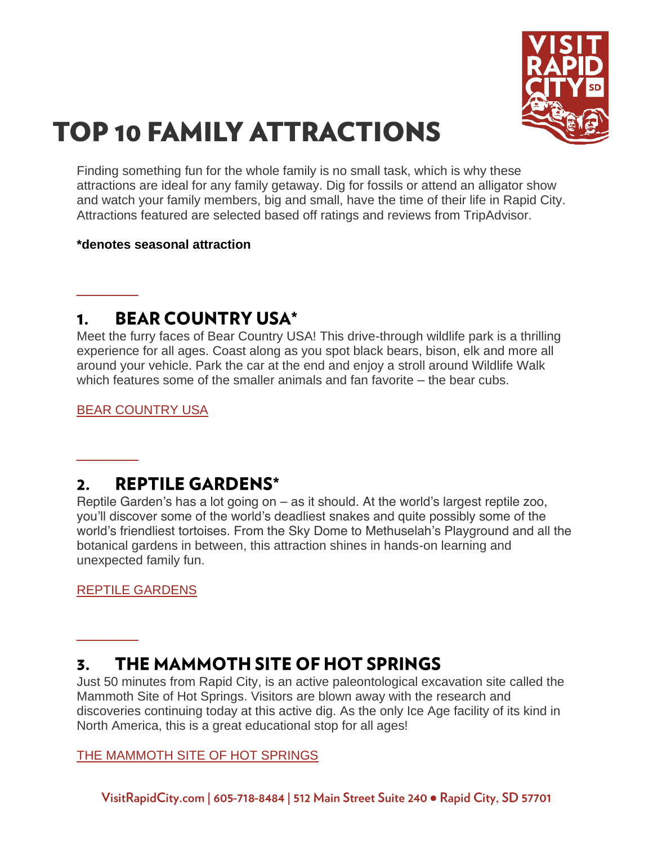

# **TOP 10 FAMILY ATTRACTIONS**

Finding something fun for the whole family is no small task, which is why these attractions are ideal for any family getaway. Dig for fossils or attend an alligator show and watch your family members, big and small, have the time of their life in Rapid City. Attractions featured are selected based off ratings and reviews from TripAdvisor.

## **\*denotes seasonal attraction**

#### **BEAR COUNTRY USA\*** 1.

Meet the furry faces of Bear Country USA! This drive-through wildlife park is a thrilling experience for all ages. Coast along as you spot black bears, bison, elk and more all around your vehicle. Park the car at the end and enjoy a stroll around Wildlife Walk which features some of the smaller animals and fan favorite – the bear cubs.

[BEAR COUNTRY USA](https://www.visitrapidcity.com/things-to-do/attractions/bear-country-usa)

**\_\_\_\_**

**\_\_\_\_**

**\_\_\_\_**

### **REPTILE GARDENS\***  $2.$

Reptile Garden's has a lot going on – as it should. At the world's largest reptile zoo, you'll discover some of the world's deadliest snakes and quite possibly some of the world's friendliest tortoises. From the Sky Dome to Methuselah's Playground and all the botanical gardens in between, this attraction shines in hands-on learning and unexpected family fun.

[REPTILE GARDENS](https://www.visitrapidcity.com/things-to-do/attractions/reptile-gardens)

## THE MAMMOTH SITE OF HOT SPRINGS 3.

Just 50 minutes from Rapid City, is an active paleontological excavation site called the Mammoth Site of Hot Springs. Visitors are blown away with the research and discoveries continuing today at this active dig. As the only Ice Age facility of its kind in North America, this is a great educational stop for all ages!

## [THE MAMMOTH SITE OF HOT SPRINGS](https://www.visitrapidcity.com/things-to-do/attractions/mammoth-site-hot-springs)

VisitRapidCity.com | 605-718-8484 | 512 Main Street Suite 240 · Rapid City, SD 57701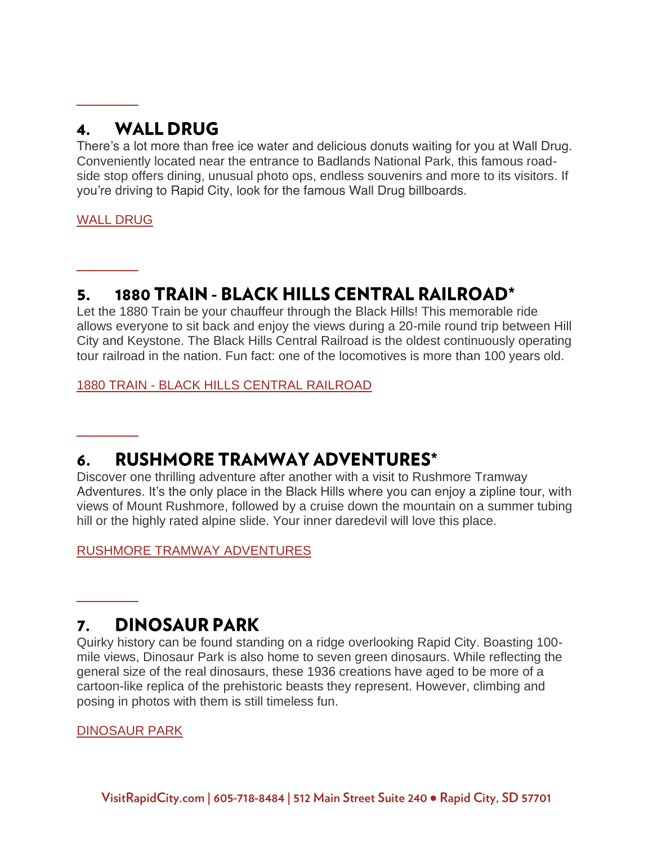### **WALL DRUG** 4.

There's a lot more than free ice water and delicious donuts waiting for you at Wall Drug. Conveniently located near the entrance to Badlands National Park, this famous roadside stop offers dining, unusual photo ops, endless souvenirs and more to its visitors. If you're driving to Rapid City, look for the famous Wall Drug billboards.

## [WALL DRUG](https://www.visitrapidcity.com/things-to-do/attractions/wall-drug-store)

**\_\_\_\_**

**\_\_\_\_**

**\_\_\_\_**

**\_\_\_\_**

## 1880 TRAIN - BLACK HILLS CENTRAL RAILROAD\* 5.

Let the 1880 Train be your chauffeur through the Black Hills! This memorable ride allows everyone to sit back and enjoy the views during a 20-mile round trip between Hill City and Keystone. The Black Hills Central Railroad is the oldest continuously operating tour railroad in the nation. Fun fact: one of the locomotives is more than 100 years old.

1880 TRAIN - [BLACK HILLS CENTRAL RAILROAD](https://www.visitrapidcity.com/things-to-do/attractions/1880-train-black-hills-central-railroad)

### **RUSHMORE TRAMWAY ADVENTURES\*** 6.

Discover one thrilling adventure after another with a visit to Rushmore Tramway Adventures. It's the only place in the Black Hills where you can enjoy a zipline tour, with views of Mount Rushmore, followed by a cruise down the mountain on a summer tubing hill or the highly rated alpine slide. Your inner daredevil will love this place.

[RUSHMORE TRAMWAY ADVENTURES](https://www.visitrapidcity.com/things-to-do/attractions/rushmore-tramway-adventures)

## **DINOSAUR PARK** 7.

Quirky history can be found standing on a ridge overlooking Rapid City. Boasting 100 mile views, Dinosaur Park is also home to seven green dinosaurs. While reflecting the general size of the real dinosaurs, these 1936 creations have aged to be more of a cartoon-like replica of the prehistoric beasts they represent. However, climbing and posing in photos with them is still timeless fun.

[DINOSAUR PARK](https://www.visitrapidcity.com/things-to-do/attractions/dinosaur-park-gift-shop-visitors-center)